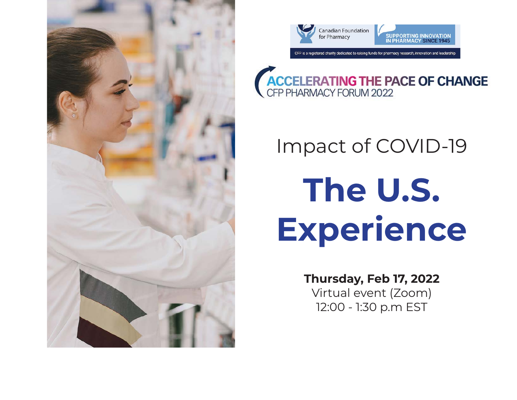





### Impact of COVID-19

# **The U.S. Experience**

#### **Thursday, Feb 17, 2022**

Virtual event (Zoom) 12:00 - 1:30 p.m EST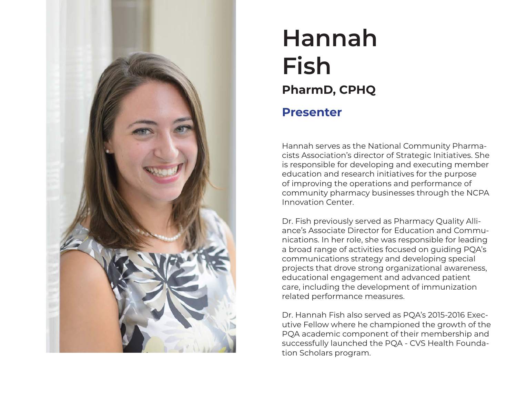

#### **Hannah Fish Presenter PharmD, CPHQ**

Hannah serves as the National Community Pharmacists Association's director of Strategic Initiatives. She is responsible for developing and executing member education and research initiatives for the purpose of improving the operations and performance of community pharmacy businesses through the NCPA Innovation Center.

Dr. Fish previously served as Pharmacy Quality Alliance's Associate Director for Education and Communications. In her role, she was responsible for leading a broad range of activities focused on guiding PQA's communications strategy and developing special projects that drove strong organizational awareness, educational engagement and advanced patient care, including the development of immunization related performance measures.

Dr. Hannah Fish also served as PQA's 2015-2016 Executive Fellow where he championed the growth of the PQA academic component of their membership and successfully launched the PQA - CVS Health Foundation Scholars program.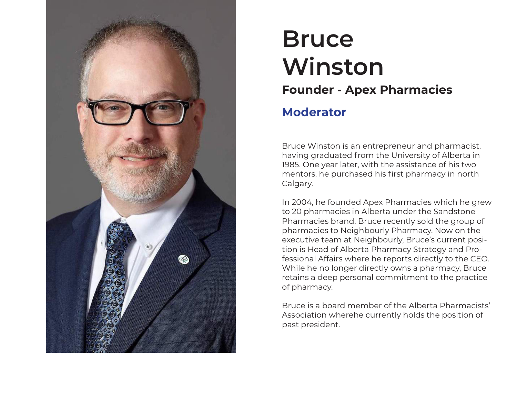

#### **Bruce Winston Moderator Founder - Apex Pharmacies**

Bruce Winston is an entrepreneur and pharmacist, having graduated from the University of Alberta in 1985. One year later, with the assistance of his two mentors, he purchased his first pharmacy in north Calgary.

In 2004, he founded Apex Pharmacies which he grew to 20 pharmacies in Alberta under the Sandstone Pharmacies brand. Bruce recently sold the group of pharmacies to Neighbourly Pharmacy. Now on the executive team at Neighbourly, Bruce's current position is Head of Alberta Pharmacy Strategy and Professional Affairs where he reports directly to the CEO. While he no longer directly owns a pharmacy, Bruce retains a deep personal commitment to the practice of pharmacy.

Bruce is a board member of the Alberta Pharmacists' Association wherehe currently holds the position of past president.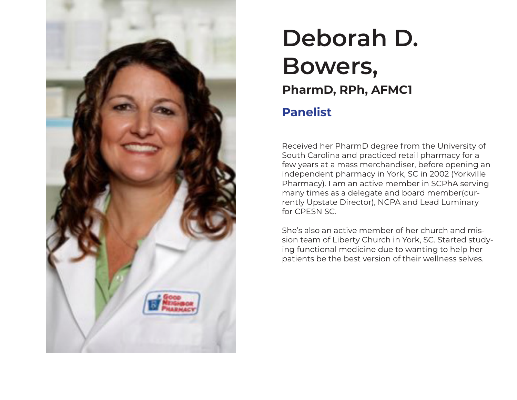

#### **Deborah D. Bowers, Panelist PharmD, RPh, AFMC1**

Received her PharmD degree from the University of South Carolina and practiced retail pharmacy for a few years at a mass merchandiser, before opening an independent pharmacy in York, SC in 2002 (Yorkville Pharmacy). I am an active member in SCPhA serving many times as a delegate and board member(currently Upstate Director), NCPA and Lead Luminary for CPESN SC.

She's also an active member of her church and mission team of Liberty Church in York, SC. Started studying functional medicine due to wanting to help her patients be the best version of their wellness selves.